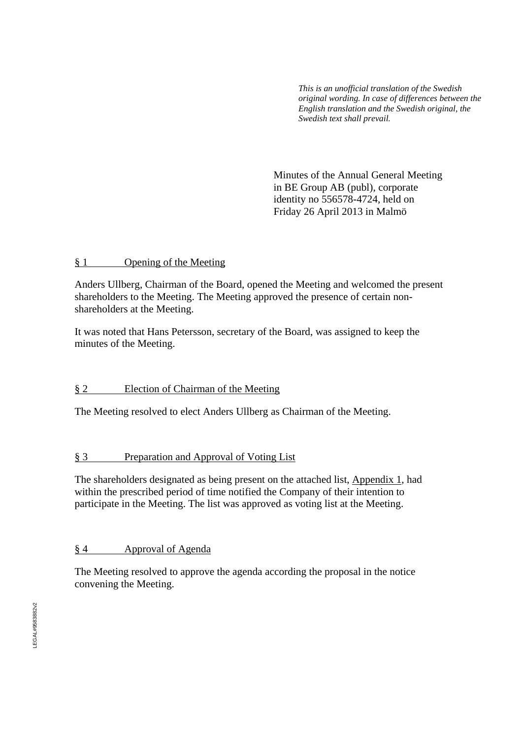*This is an unofficial translation of the Swedish original wording. In case of differences between the English translation and the Swedish original, the Swedish text shall prevail.* 

 Minutes of the Annual General Meeting in BE Group AB (publ), corporate identity no 556578-4724, held on Friday 26 April 2013 in Malmö

#### § 1 Opening of the Meeting

Anders Ullberg, Chairman of the Board, opened the Meeting and welcomed the present shareholders to the Meeting. The Meeting approved the presence of certain nonshareholders at the Meeting.

It was noted that Hans Petersson, secretary of the Board, was assigned to keep the minutes of the Meeting.

## § 2 Election of Chairman of the Meeting

The Meeting resolved to elect Anders Ullberg as Chairman of the Meeting.

## § 3 Preparation and Approval of Voting List

The shareholders designated as being present on the attached list, Appendix 1, had within the prescribed period of time notified the Company of their intention to participate in the Meeting. The list was approved as voting list at the Meeting.

## § 4 Approval of Agenda

The Meeting resolved to approve the agenda according the proposal in the notice convening the Meeting.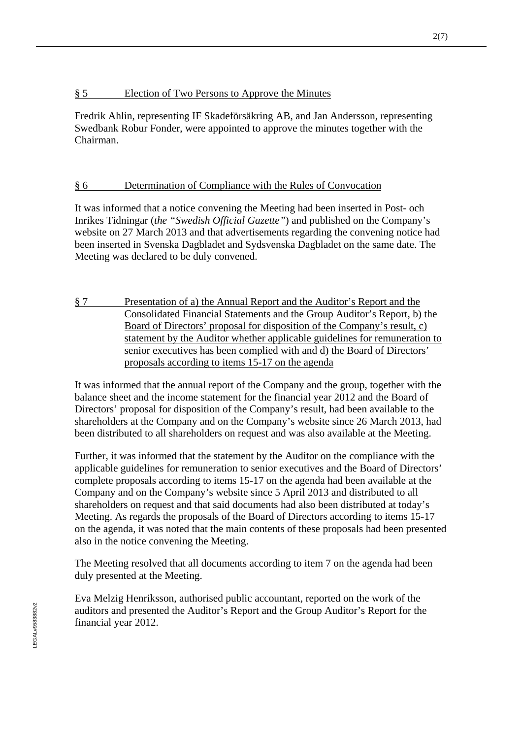## § 5 Election of Two Persons to Approve the Minutes

Fredrik Ahlin, representing IF Skadeförsäkring AB, and Jan Andersson, representing Swedbank Robur Fonder, were appointed to approve the minutes together with the Chairman.

## § 6 Determination of Compliance with the Rules of Convocation

It was informed that a notice convening the Meeting had been inserted in Post- och Inrikes Tidningar (*the "Swedish Official Gazette"*) and published on the Company's website on 27 March 2013 and that advertisements regarding the convening notice had been inserted in Svenska Dagbladet and Sydsvenska Dagbladet on the same date. The Meeting was declared to be duly convened.

§ 7 Presentation of a) the Annual Report and the Auditor's Report and the Consolidated Financial Statements and the Group Auditor's Report, b) the Board of Directors' proposal for disposition of the Company's result, c) statement by the Auditor whether applicable guidelines for remuneration to senior executives has been complied with and d) the Board of Directors' proposals according to items 15-17 on the agenda

It was informed that the annual report of the Company and the group, together with the balance sheet and the income statement for the financial year 2012 and the Board of Directors' proposal for disposition of the Company's result, had been available to the shareholders at the Company and on the Company's website since 26 March 2013, had been distributed to all shareholders on request and was also available at the Meeting.

Further, it was informed that the statement by the Auditor on the compliance with the applicable guidelines for remuneration to senior executives and the Board of Directors' complete proposals according to items 15-17 on the agenda had been available at the Company and on the Company's website since 5 April 2013 and distributed to all shareholders on request and that said documents had also been distributed at today's Meeting. As regards the proposals of the Board of Directors according to items 15-17 on the agenda, it was noted that the main contents of these proposals had been presented also in the notice convening the Meeting.

The Meeting resolved that all documents according to item 7 on the agenda had been duly presented at the Meeting.

Eva Melzig Henriksson, authorised public accountant, reported on the work of the auditors and presented the Auditor's Report and the Group Auditor's Report for the financial year 2012.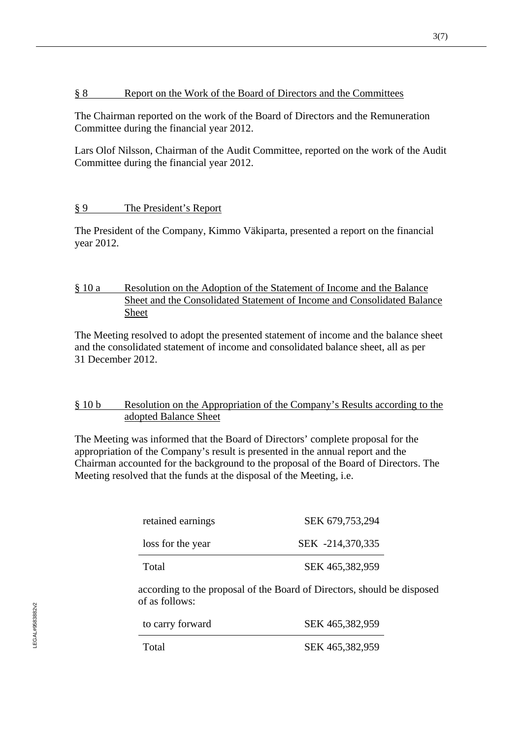#### § 8 Report on the Work of the Board of Directors and the Committees

The Chairman reported on the work of the Board of Directors and the Remuneration Committee during the financial year 2012.

Lars Olof Nilsson, Chairman of the Audit Committee, reported on the work of the Audit Committee during the financial year 2012.

#### § 9 The President's Report

The President of the Company, Kimmo Väkiparta, presented a report on the financial year 2012.

## § 10 a Resolution on the Adoption of the Statement of Income and the Balance Sheet and the Consolidated Statement of Income and Consolidated Balance Sheet

The Meeting resolved to adopt the presented statement of income and the balance sheet and the consolidated statement of income and consolidated balance sheet, all as per 31 December 2012.

#### § 10 b Resolution on the Appropriation of the Company's Results according to the adopted Balance Sheet

The Meeting was informed that the Board of Directors' complete proposal for the appropriation of the Company's result is presented in the annual report and the Chairman accounted for the background to the proposal of the Board of Directors. The Meeting resolved that the funds at the disposal of the Meeting, i.e.

| retained earnings | SEK 679,753,294  |
|-------------------|------------------|
| loss for the year | SEK -214,370,335 |
| Total             | SEK 465,382,959  |

according to the proposal of the Board of Directors, should be disposed of as follows:

| to carry forward | SEK 465,382,959 |
|------------------|-----------------|
| Total            | SEK 465,382,959 |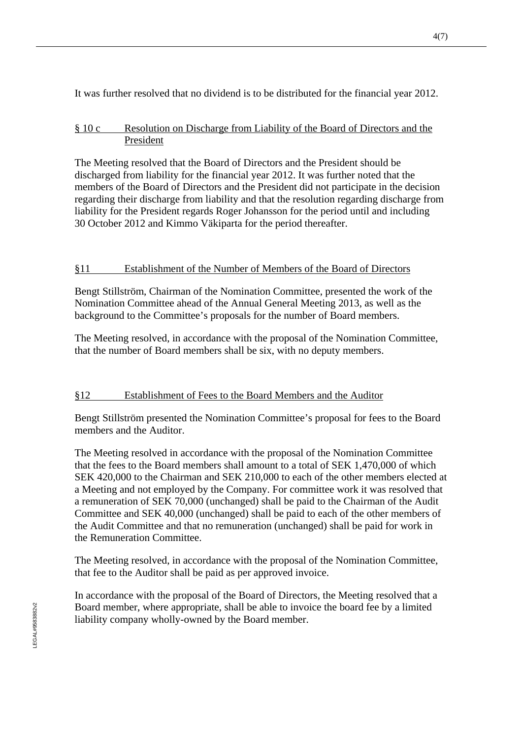It was further resolved that no dividend is to be distributed for the financial year 2012.

## § 10 c Resolution on Discharge from Liability of the Board of Directors and the President

The Meeting resolved that the Board of Directors and the President should be discharged from liability for the financial year 2012. It was further noted that the members of the Board of Directors and the President did not participate in the decision regarding their discharge from liability and that the resolution regarding discharge from liability for the President regards Roger Johansson for the period until and including 30 October 2012 and Kimmo Väkiparta for the period thereafter.

## §11 Establishment of the Number of Members of the Board of Directors

Bengt Stillström, Chairman of the Nomination Committee, presented the work of the Nomination Committee ahead of the Annual General Meeting 2013, as well as the background to the Committee's proposals for the number of Board members.

The Meeting resolved, in accordance with the proposal of the Nomination Committee, that the number of Board members shall be six, with no deputy members.

# §12 Establishment of Fees to the Board Members and the Auditor

Bengt Stillström presented the Nomination Committee's proposal for fees to the Board members and the Auditor.

The Meeting resolved in accordance with the proposal of the Nomination Committee that the fees to the Board members shall amount to a total of SEK 1,470,000 of which SEK 420,000 to the Chairman and SEK 210,000 to each of the other members elected at a Meeting and not employed by the Company. For committee work it was resolved that a remuneration of SEK 70,000 (unchanged) shall be paid to the Chairman of the Audit Committee and SEK 40,000 (unchanged) shall be paid to each of the other members of the Audit Committee and that no remuneration (unchanged) shall be paid for work in the Remuneration Committee.

The Meeting resolved, in accordance with the proposal of the Nomination Committee, that fee to the Auditor shall be paid as per approved invoice.

In accordance with the proposal of the Board of Directors, the Meeting resolved that a Board member, where appropriate, shall be able to invoice the board fee by a limited liability company wholly-owned by the Board member.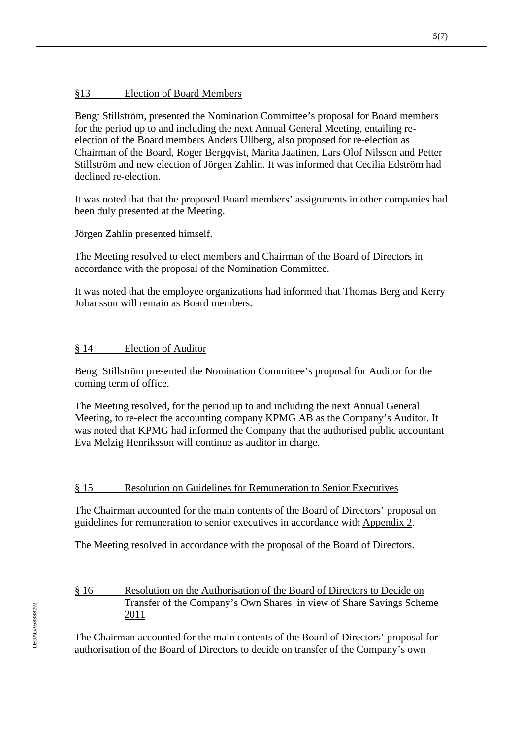## §13 Election of Board Members

Bengt Stillström, presented the Nomination Committee's proposal for Board members for the period up to and including the next Annual General Meeting, entailing reelection of the Board members Anders Ullberg, also proposed for re-election as Chairman of the Board, Roger Bergqvist, Marita Jaatinen, Lars Olof Nilsson and Petter Stillström and new election of Jörgen Zahlin. It was informed that Cecilia Edström had declined re-election.

It was noted that that the proposed Board members' assignments in other companies had been duly presented at the Meeting.

Jörgen Zahlin presented himself.

The Meeting resolved to elect members and Chairman of the Board of Directors in accordance with the proposal of the Nomination Committee.

It was noted that the employee organizations had informed that Thomas Berg and Kerry Johansson will remain as Board members.

#### § 14 Election of Auditor

Bengt Stillström presented the Nomination Committee's proposal for Auditor for the coming term of office.

The Meeting resolved, for the period up to and including the next Annual General Meeting, to re-elect the accounting company KPMG AB as the Company's Auditor. It was noted that KPMG had informed the Company that the authorised public accountant Eva Melzig Henriksson will continue as auditor in charge.

#### § 15 Resolution on Guidelines for Remuneration to Senior Executives

The Chairman accounted for the main contents of the Board of Directors' proposal on guidelines for remuneration to senior executives in accordance with Appendix 2.

The Meeting resolved in accordance with the proposal of the Board of Directors.

### § 16 Resolution on the Authorisation of the Board of Directors to Decide on Transfer of the Company's Own Shares in view of Share Savings Scheme 2011

The Chairman accounted for the main contents of the Board of Directors' proposal for authorisation of the Board of Directors to decide on transfer of the Company's own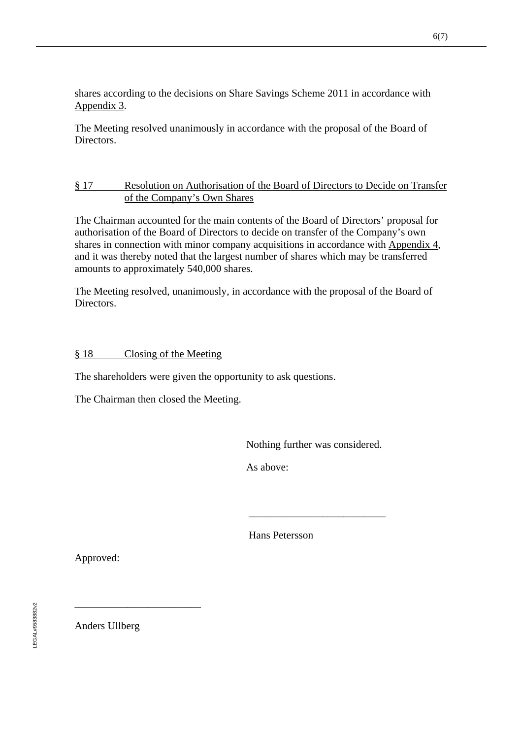shares according to the decisions on Share Savings Scheme 2011 in accordance with Appendix 3.

The Meeting resolved unanimously in accordance with the proposal of the Board of Directors.

## § 17 Resolution on Authorisation of the Board of Directors to Decide on Transfer of the Company's Own Shares

The Chairman accounted for the main contents of the Board of Directors' proposal for authorisation of the Board of Directors to decide on transfer of the Company's own shares in connection with minor company acquisitions in accordance with Appendix 4, and it was thereby noted that the largest number of shares which may be transferred amounts to approximately 540,000 shares.

The Meeting resolved, unanimously, in accordance with the proposal of the Board of Directors.

#### § 18 Closing of the Meeting

The shareholders were given the opportunity to ask questions.

The Chairman then closed the Meeting.

Nothing further was considered.

As above:

 $\frac{1}{2}$  , and the set of the set of the set of the set of the set of the set of the set of the set of the set of the set of the set of the set of the set of the set of the set of the set of the set of the set of the set

Hans Petersson

Approved:

Anders Ullberg

\_\_\_\_\_\_\_\_\_\_\_\_\_\_\_\_\_\_\_\_\_\_\_\_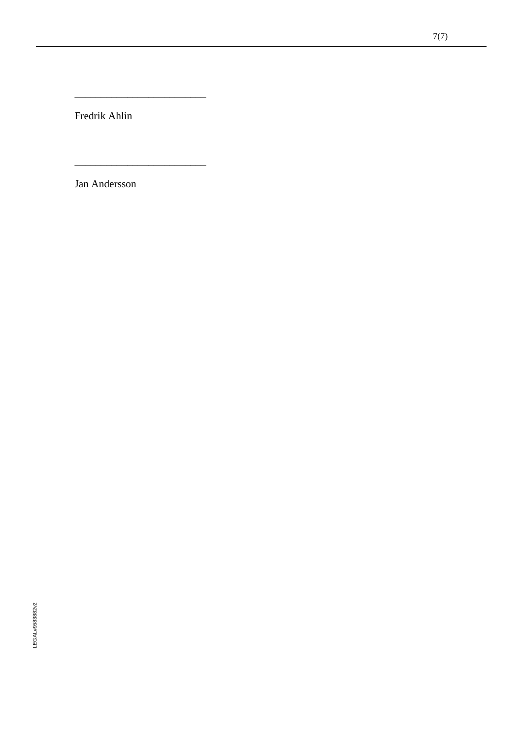Fredrik Ahlin

\_\_\_\_\_\_\_\_\_\_\_\_\_\_\_\_\_\_\_\_\_\_\_\_\_

\_\_\_\_\_\_\_\_\_\_\_\_\_\_\_\_\_\_\_\_\_\_\_\_\_

Jan Andersson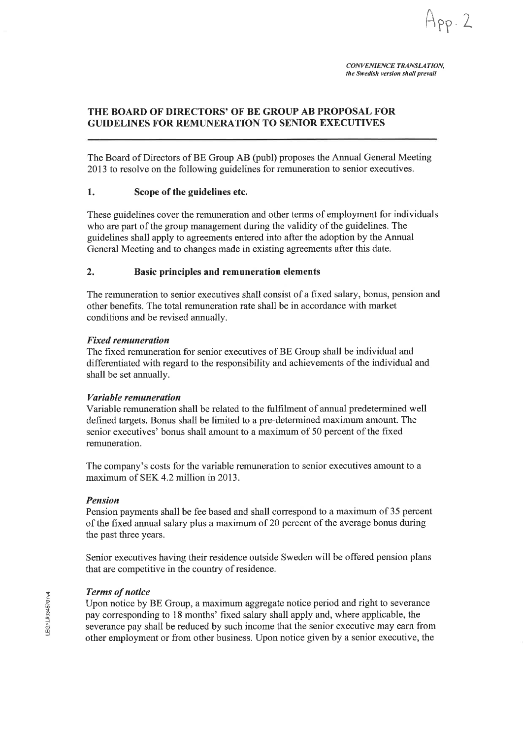$App.2$ 

#### THE BOARD OF DIRECTORS' OF BE GROUP AB PROPOSAL FOR **GUIDELINES FOR REMUNERATION TO SENIOR EXECUTIVES**

The Board of Directors of BE Group AB (publ) proposes the Annual General Meeting 2013 to resolve on the following guidelines for remuneration to senior executives.

#### Scope of the guidelines etc. 1.

These guidelines cover the remuneration and other terms of employment for individuals who are part of the group management during the validity of the guidelines. The guidelines shall apply to agreements entered into after the adoption by the Annual General Meeting and to changes made in existing agreements after this date.

#### $\overline{2}$ . Basic principles and remuneration elements

The remuneration to senior executives shall consist of a fixed salary, bonus, pension and other benefits. The total remuneration rate shall be in accordance with market conditions and be revised annually.

#### **Fixed remuneration**

The fixed remuneration for senior executives of BE Group shall be individual and differentiated with regard to the responsibility and achievements of the individual and shall be set annually.

#### Variable remuneration

Variable remuneration shall be related to the fulfilment of annual predetermined well defined targets. Bonus shall be limited to a pre-determined maximum amount. The senior executives' bonus shall amount to a maximum of 50 percent of the fixed remuneration.

The company's costs for the variable remuneration to senior executives amount to a maximum of SEK 4.2 million in 2013.

#### **Pension**

Pension payments shall be fee based and shall correspond to a maximum of 35 percent of the fixed annual salary plus a maximum of 20 percent of the average bonus during the past three years.

Senior executives having their residence outside Sweden will be offered pension plans that are competitive in the country of residence.

#### **Terms of notice**

Upon notice by BE Group, a maximum aggregate notice period and right to severance pay corresponding to 18 months' fixed salary shall apply and, where applicable, the severance pay shall be reduced by such income that the senior executive may earn from other employment or from other business. Upon notice given by a senior executive, the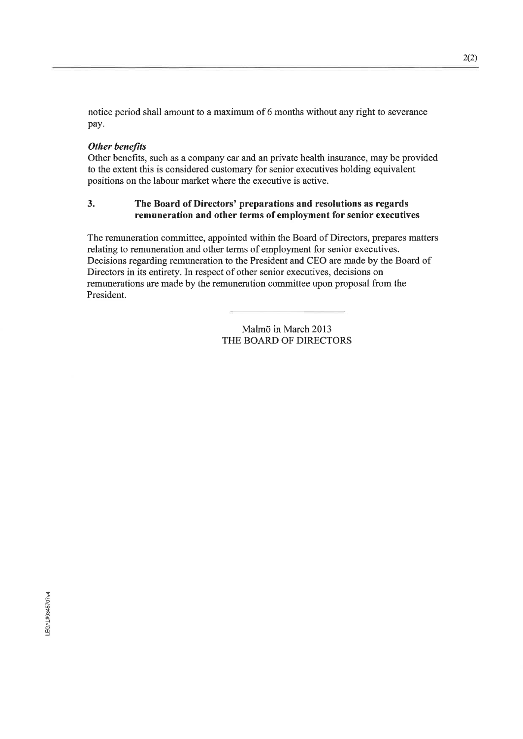notice period shall amount to a maximum of 6 months without any right to severance pay.

#### **Other benefits**

Other benefits, such as a company car and an private health insurance, may be provided to the extent this is considered customary for senior executives holding equivalent positions on the labour market where the executive is active.

#### 3. The Board of Directors' preparations and resolutions as regards remuneration and other terms of employment for senior executives

The remuneration committee, appointed within the Board of Directors, prepares matters relating to remuneration and other terms of employment for senior executives. Decisions regarding remuneration to the President and CEO are made by the Board of Directors in its entirety. In respect of other senior executives, decisions on remunerations are made by the remuneration committee upon proposal from the President.

> Malmö in March 2013 THE BOARD OF DIRECTORS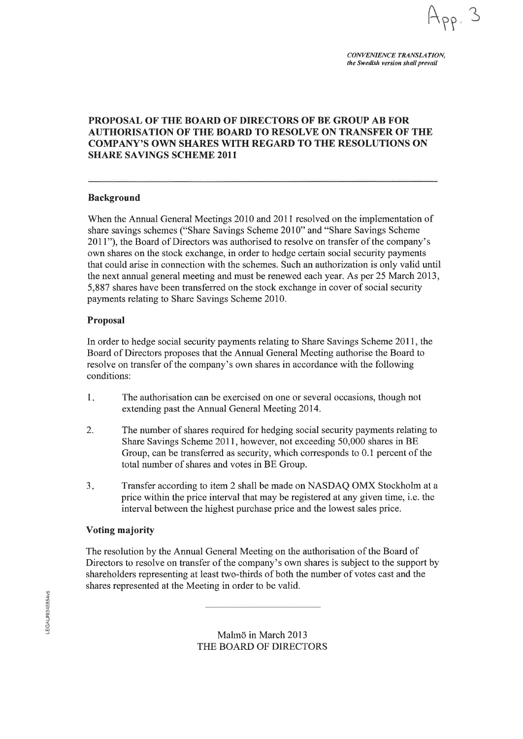**CONVENIENCE TRANSLATION.** the Swedish version shall prevail

#### PROPOSAL OF THE BOARD OF DIRECTORS OF BE GROUP AB FOR **AUTHORISATION OF THE BOARD TO RESOLVE ON TRANSFER OF THE COMPANY'S OWN SHARES WITH REGARD TO THE RESOLUTIONS ON SHARE SAVINGS SCHEME 2011**

#### **Background**

When the Annual General Meetings 2010 and 2011 resolved on the implementation of share savings schemes ("Share Savings Scheme 2010" and "Share Savings Scheme" 2011"), the Board of Directors was authorised to resolve on transfer of the company's own shares on the stock exchange, in order to hedge certain social security payments that could arise in connection with the schemes. Such an authorization is only valid until the next annual general meeting and must be renewed each year. As per 25 March 2013, 5,887 shares have been transferred on the stock exchange in cover of social security payments relating to Share Savings Scheme 2010.

#### **Proposal**

In order to hedge social security payments relating to Share Savings Scheme 2011, the Board of Directors proposes that the Annual General Meeting authorise the Board to resolve on transfer of the company's own shares in accordance with the following conditions:

- $1.$ The authorisation can be exercised on one or several occasions, though not extending past the Annual General Meeting 2014.
- 2. The number of shares required for hedging social security payments relating to Share Savings Scheme 2011, however, not exceeding 50,000 shares in BE Group, can be transferred as security, which corresponds to 0.1 percent of the total number of shares and votes in BE Group.
- $3.$ Transfer according to item 2 shall be made on NASDAQ OMX Stockholm at a price within the price interval that may be registered at any given time, i.e. the interval between the highest purchase price and the lowest sales price.

#### Voting majority

The resolution by the Annual General Meeting on the authorisation of the Board of Directors to resolve on transfer of the company's own shares is subject to the support by shareholders representing at least two-thirds of both the number of votes cast and the shares represented at the Meeting in order to be valid.

> Malmö in March 2013 THE BOARD OF DIRECTORS